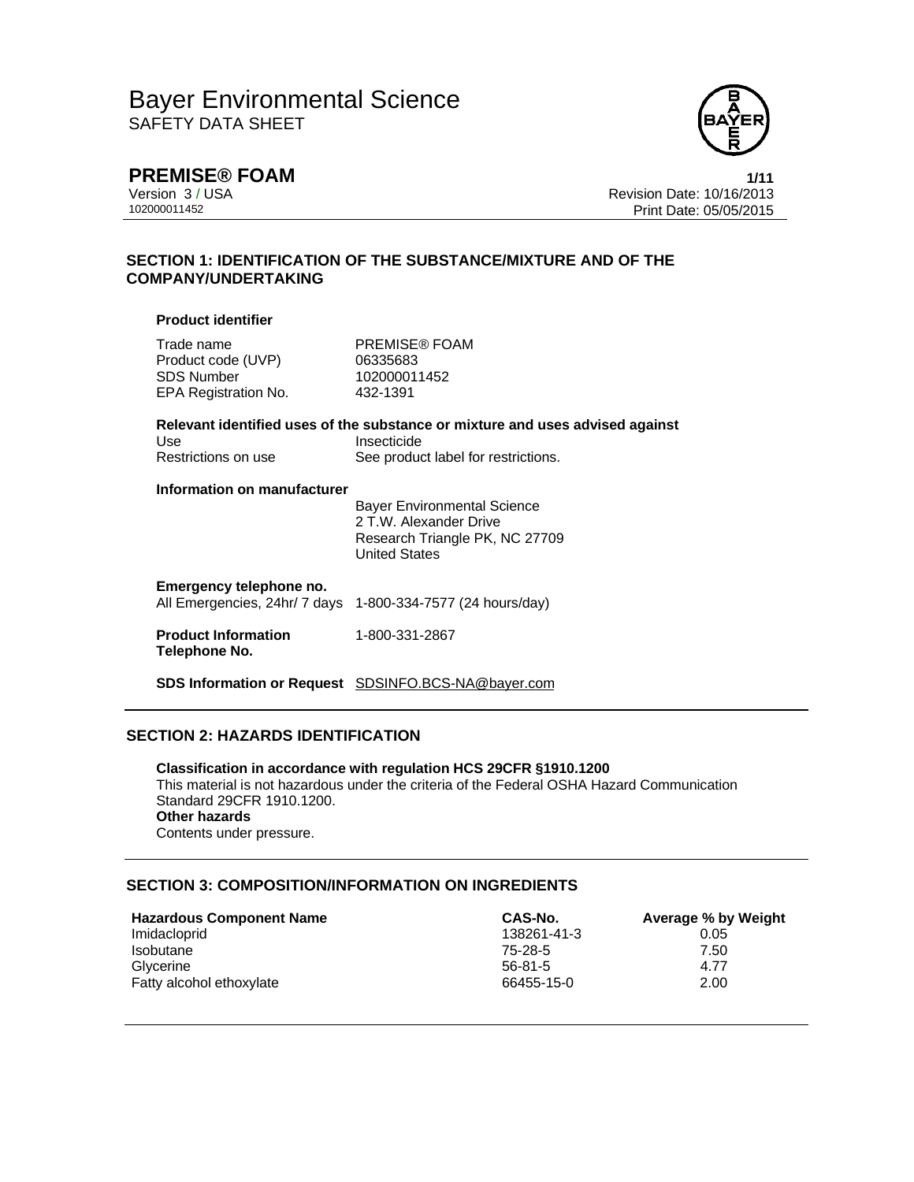

**PREMISE® FOAM** 1/11<br>Version 3 / USA 1/15<br>Revision Date: 10/16/2013 Version 3 / USA Revision Date: 10/16/2013 Print Date: 05/05/2015

## **SECTION 1: IDENTIFICATION OF THE SUBSTANCE/MIXTURE AND OF THE COMPANY/UNDERTAKING**

### **Product identifier**

| Trade name<br>Product code (UVP)<br><b>SDS Number</b><br>EPA Registration No. | PREMISE® FOAM<br>06335683<br>102000011452<br>432-1391                                                                               |
|-------------------------------------------------------------------------------|-------------------------------------------------------------------------------------------------------------------------------------|
| Use<br>Restrictions on use                                                    | Relevant identified uses of the substance or mixture and uses advised against<br>Insecticide<br>See product label for restrictions. |
| Information on manufacturer                                                   | <b>Bayer Environmental Science</b><br>2 T.W. Alexander Drive<br>Research Triangle PK, NC 27709<br><b>United States</b>              |
| Emergency telephone no.<br>All Emergencies, 24hr/ 7 days                      | 1-800-334-7577 (24 hours/day)                                                                                                       |
| <b>Product Information</b><br>Telephone No.                                   | 1-800-331-2867                                                                                                                      |
|                                                                               | SDS Information or Request SDSINFO.BCS-NA@bayer.com                                                                                 |

## **SECTION 2: HAZARDS IDENTIFICATION**

**Classification in accordance with regulation HCS 29CFR §1910.1200**  This material is not hazardous under the criteria of the Federal OSHA Hazard Communication Standard 29CFR 1910.1200. **Other hazards**  Contents under pressure.

# **SECTION 3: COMPOSITION/INFORMATION ON INGREDIENTS**

| <b>Hazardous Component Name</b> | CAS-No.     | Average % by Weight |
|---------------------------------|-------------|---------------------|
| Imidacloprid                    | 138261-41-3 | 0.05                |
| <b>Isobutane</b>                | 75-28-5     | 7.50                |
| Glycerine                       | $56-81-5$   | 4.77                |
| Fatty alcohol ethoxylate        | 66455-15-0  | 2.00                |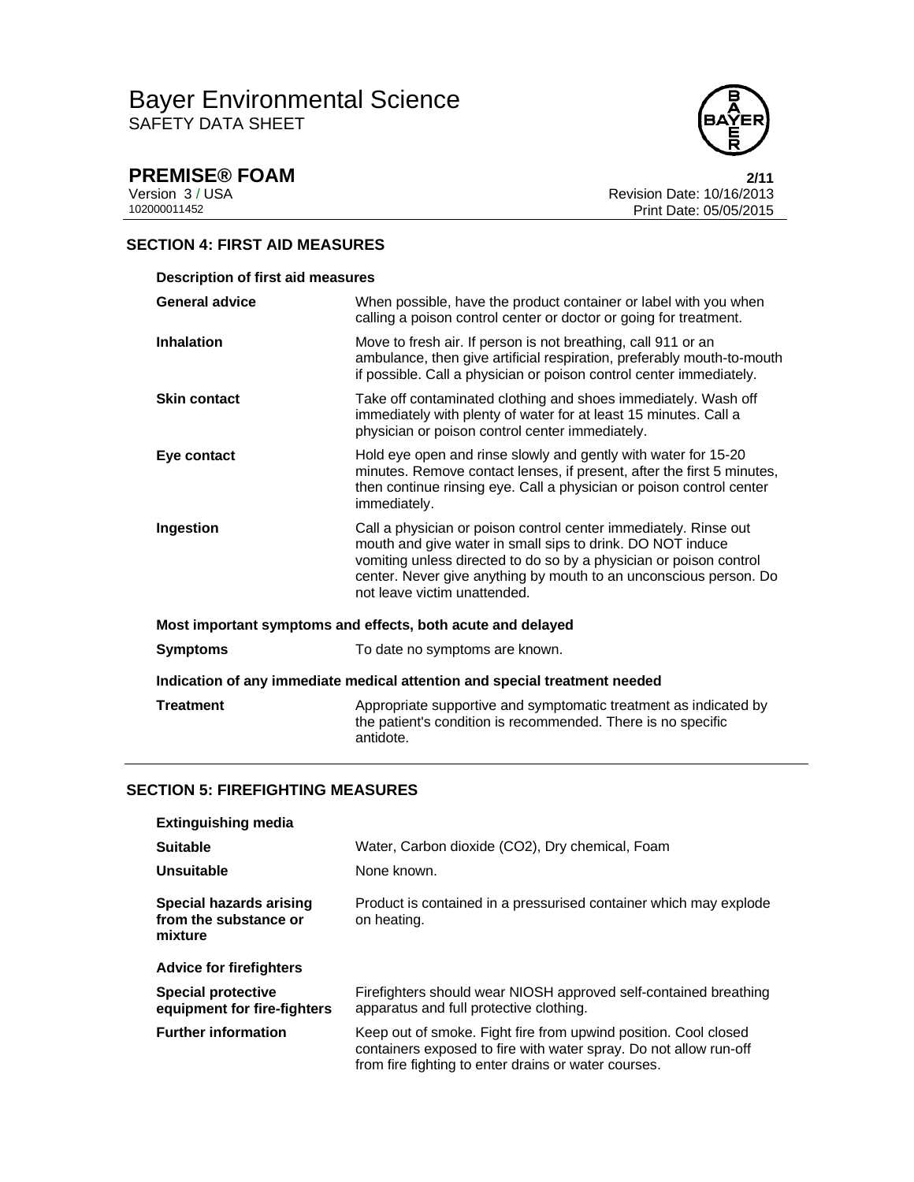

**PREMISE® FOAM** 2/11<br>
Version 3 / USA 2013<br>
102000011452<br>
Print Date: 05/05/2015 Revision Date: 10/16/2013 Print Date: 05/05/2015

## **SECTION 4: FIRST AID MEASURES**

| <b>Description of first aid measures</b>                                   |                                                                                                                                                                                                                                                                                                           |  |
|----------------------------------------------------------------------------|-----------------------------------------------------------------------------------------------------------------------------------------------------------------------------------------------------------------------------------------------------------------------------------------------------------|--|
| <b>General advice</b>                                                      | When possible, have the product container or label with you when<br>calling a poison control center or doctor or going for treatment.                                                                                                                                                                     |  |
| <b>Inhalation</b>                                                          | Move to fresh air. If person is not breathing, call 911 or an<br>ambulance, then give artificial respiration, preferably mouth-to-mouth<br>if possible. Call a physician or poison control center immediately.                                                                                            |  |
| <b>Skin contact</b>                                                        | Take off contaminated clothing and shoes immediately. Wash off<br>immediately with plenty of water for at least 15 minutes. Call a<br>physician or poison control center immediately.                                                                                                                     |  |
| Eye contact                                                                | Hold eye open and rinse slowly and gently with water for 15-20<br>minutes. Remove contact lenses, if present, after the first 5 minutes,<br>then continue rinsing eye. Call a physician or poison control center<br>immediately.                                                                          |  |
| Ingestion                                                                  | Call a physician or poison control center immediately. Rinse out<br>mouth and give water in small sips to drink. DO NOT induce<br>vomiting unless directed to do so by a physician or poison control<br>center. Never give anything by mouth to an unconscious person. Do<br>not leave victim unattended. |  |
| Most important symptoms and effects, both acute and delayed                |                                                                                                                                                                                                                                                                                                           |  |
| <b>Symptoms</b>                                                            | To date no symptoms are known.                                                                                                                                                                                                                                                                            |  |
| Indication of any immediate medical attention and special treatment needed |                                                                                                                                                                                                                                                                                                           |  |
| <b>Treatment</b>                                                           | Appropriate supportive and symptomatic treatment as indicated by<br>the patient's condition is recommended. There is no specific<br>antidote.                                                                                                                                                             |  |

## **SECTION 5: FIREFIGHTING MEASURES**

| <b>Extinguishing media</b>                                  |                                                                                                                                                                                              |
|-------------------------------------------------------------|----------------------------------------------------------------------------------------------------------------------------------------------------------------------------------------------|
| <b>Suitable</b>                                             | Water, Carbon dioxide (CO2), Dry chemical, Foam                                                                                                                                              |
| Unsuitable                                                  | None known.                                                                                                                                                                                  |
| Special hazards arising<br>from the substance or<br>mixture | Product is contained in a pressurised container which may explode<br>on heating.                                                                                                             |
| <b>Advice for firefighters</b>                              |                                                                                                                                                                                              |
| <b>Special protective</b><br>equipment for fire-fighters    | Firefighters should wear NIOSH approved self-contained breathing<br>apparatus and full protective clothing.                                                                                  |
| <b>Further information</b>                                  | Keep out of smoke. Fight fire from upwind position. Cool closed<br>containers exposed to fire with water spray. Do not allow run-off<br>from fire fighting to enter drains or water courses. |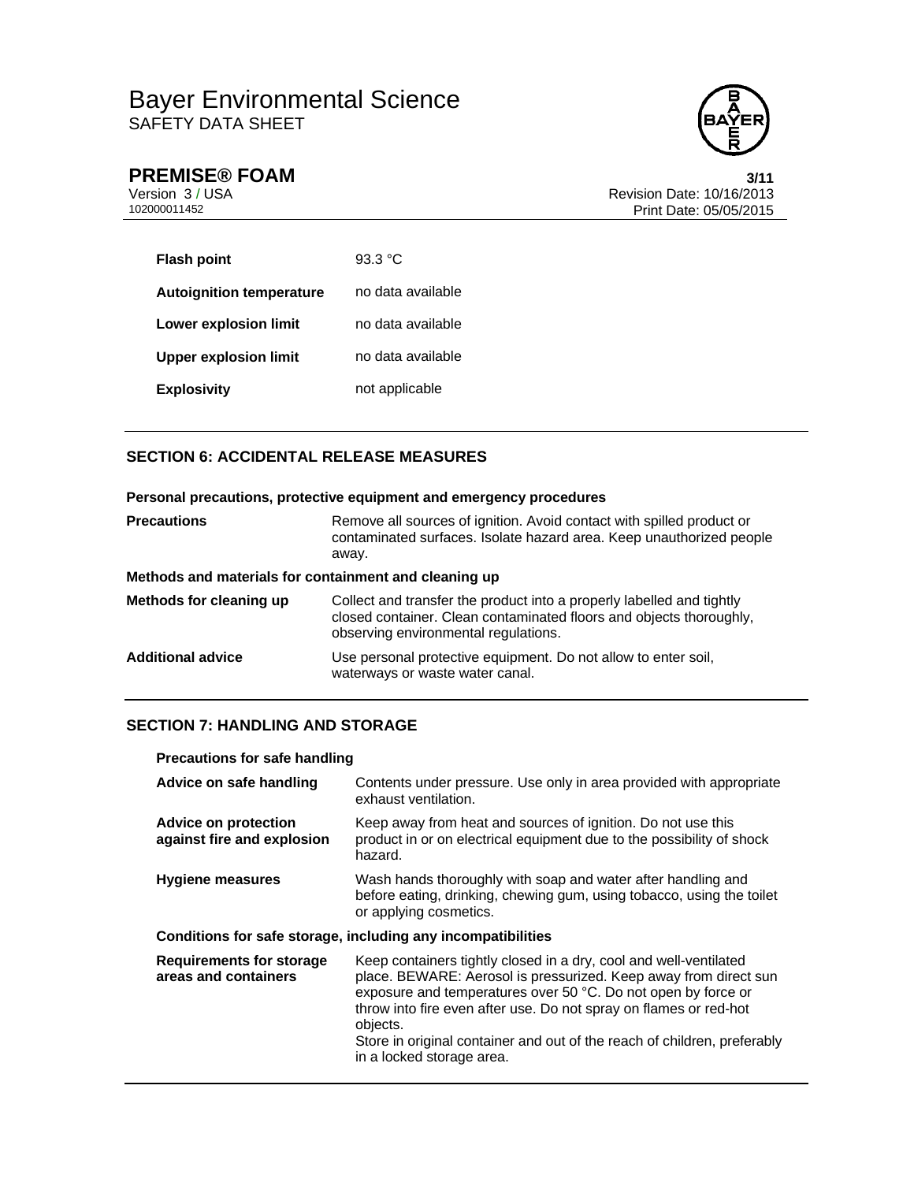

**PREMISE® FOAM** 3/11<br>
Version 3 / USA Revision Date: 10/16/2013<br>
102000011452 Print Date: 05/05/2015 Revision Date: 10/16/2013 Print Date: 05/05/2015

| <b>Flash point</b>              | 93.3 $^{\circ}$ C |
|---------------------------------|-------------------|
| <b>Autoignition temperature</b> | no data available |
| Lower explosion limit           | no data available |
| <b>Upper explosion limit</b>    | no data available |
| <b>Explosivity</b>              | not applicable    |

# **SECTION 6: ACCIDENTAL RELEASE MEASURES**

|                          | Personal precautions, protective equipment and emergency procedures                                                                                                                  |
|--------------------------|--------------------------------------------------------------------------------------------------------------------------------------------------------------------------------------|
| <b>Precautions</b>       | Remove all sources of ignition. Avoid contact with spilled product or<br>contaminated surfaces. Isolate hazard area. Keep unauthorized people<br>away.                               |
|                          | Methods and materials for containment and cleaning up                                                                                                                                |
| Methods for cleaning up  | Collect and transfer the product into a properly labelled and tightly<br>closed container. Clean contaminated floors and objects thoroughly.<br>observing environmental regulations. |
| <b>Additional advice</b> | Use personal protective equipment. Do not allow to enter soil,<br>waterways or waste water canal.                                                                                    |

# **SECTION 7: HANDLING AND STORAGE**

| <b>Precautions for safe handling</b>                         |                                                                                                                                                                                                                                                                                                                                                                                                  |  |
|--------------------------------------------------------------|--------------------------------------------------------------------------------------------------------------------------------------------------------------------------------------------------------------------------------------------------------------------------------------------------------------------------------------------------------------------------------------------------|--|
| Advice on safe handling                                      | Contents under pressure. Use only in area provided with appropriate<br>exhaust ventilation.                                                                                                                                                                                                                                                                                                      |  |
| Advice on protection<br>against fire and explosion           | Keep away from heat and sources of ignition. Do not use this<br>product in or on electrical equipment due to the possibility of shock<br>hazard.                                                                                                                                                                                                                                                 |  |
| <b>Hygiene measures</b>                                      | Wash hands thoroughly with soap and water after handling and<br>before eating, drinking, chewing gum, using tobacco, using the toilet<br>or applying cosmetics.                                                                                                                                                                                                                                  |  |
| Conditions for safe storage, including any incompatibilities |                                                                                                                                                                                                                                                                                                                                                                                                  |  |
| <b>Requirements for storage</b><br>areas and containers      | Keep containers tightly closed in a dry, cool and well-ventilated<br>place. BEWARE: Aerosol is pressurized. Keep away from direct sun<br>exposure and temperatures over 50 °C. Do not open by force or<br>throw into fire even after use. Do not spray on flames or red-hot<br>objects.<br>Store in original container and out of the reach of children, preferably<br>in a locked storage area. |  |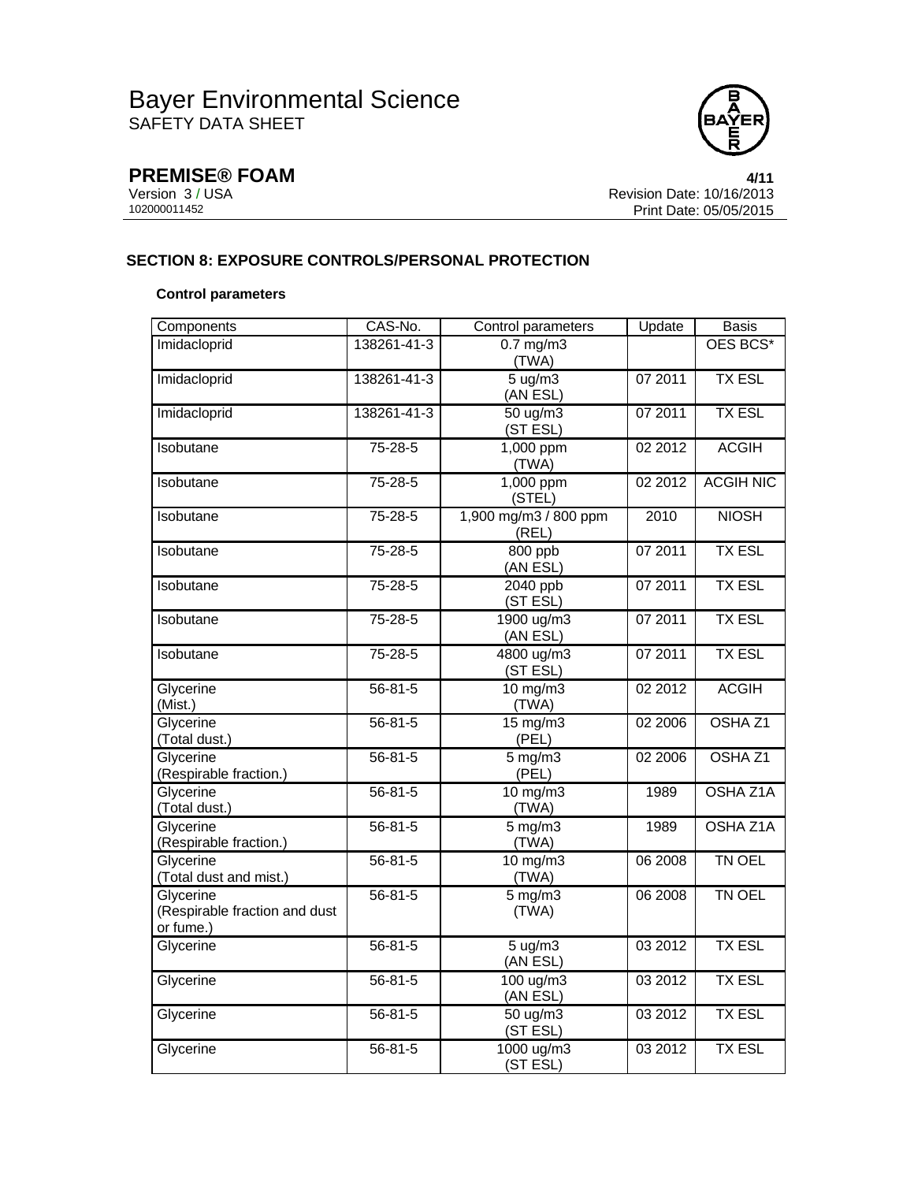

**PREMISE® FOAM** 4/11<br>
Version 3 / USA 102000011452<br>
102000011452 Print Date: 05/05/2015 Revision Date: 10/16/2013 Print Date: 05/05/2015

## **SECTION 8: EXPOSURE CONTROLS/PERSONAL PROTECTION**

### **Control parameters**

| Components                                              | CAS-No.       | Control parameters             | Update  | <b>Basis</b>       |
|---------------------------------------------------------|---------------|--------------------------------|---------|--------------------|
| Imidacloprid                                            | 138261-41-3   | $0.7$ mg/m $3$<br>(TWA)        |         | OES BCS*           |
| Imidacloprid                                            | 138261-41-3   | 5 ug/m3<br>(AN ESL)            | 07 2011 | <b>TX ESL</b>      |
| Imidacloprid                                            | 138261-41-3   | $50 \text{ uq/m}$<br>(ST ESL)  | 07 2011 | <b>TX ESL</b>      |
| Isobutane                                               | $75 - 28 - 5$ | 1,000 ppm<br>(TWA)             | 02 2012 | <b>ACGIH</b>       |
| Isobutane                                               | $75 - 28 - 5$ | 1,000 ppm<br>(STEL)            | 02 2012 | <b>ACGIH NIC</b>   |
| Isobutane                                               | $75 - 28 - 5$ | 1,900 mg/m3 / 800 ppm<br>(REL) | 2010    | <b>NIOSH</b>       |
| Isobutane                                               | 75-28-5       | 800 ppb<br>(AN ESL)            | 07 2011 | <b>TX ESL</b>      |
| Isobutane                                               | 75-28-5       | 2040 ppb<br>(ST ESL)           | 07 2011 | <b>TX ESL</b>      |
| Isobutane                                               | $75 - 28 - 5$ | 1900 ug/m3<br>(AN ESL)         | 07 2011 | <b>TX ESL</b>      |
| Isobutane                                               | 75-28-5       | 4800 ug/m3<br>(ST ESL)         | 07 2011 | <b>TX ESL</b>      |
| Glycerine<br>(Mist.)                                    | $56 - 81 - 5$ | $10$ mg/m $3$<br>(TWA)         | 02 2012 | <b>ACGIH</b>       |
| Glycerine<br>(Total dust.)                              | $56 - 81 - 5$ | $15 \text{ mg/m}$<br>(PEL)     | 02 2006 | OSHA <sub>Z1</sub> |
| Glycerine<br>(Respirable fraction.)                     | $56 - 81 - 5$ | $5$ mg/m $3$<br>(PEL)          | 02 2006 | OSHA <sub>Z1</sub> |
| Glycerine<br>(Total dust.)                              | $56 - 81 - 5$ | $10$ mg/m $3$<br>(TWA)         | 1989    | OSHA Z1A           |
| Glycerine<br>(Respirable fraction.)                     | $56 - 81 - 5$ | $5 \text{ mg/m}$<br>(TWA)      | 1989    | <b>OSHA Z1A</b>    |
| Glycerine<br>(Total dust and mist.)                     | $56 - 81 - 5$ | $10$ mg/m $3$<br>(TWA)         | 06 2008 | TN OEL             |
| Glycerine<br>(Respirable fraction and dust<br>or fume.) | $56 - 81 - 5$ | $5$ mg/m $3$<br>(TWA)          | 06 2008 | TN OEL             |
| Glycerine                                               | $56 - 81 - 5$ | 5 ug/m3<br>(AN ESL)            | 03 2012 | <b>TX ESL</b>      |
| Glycerine                                               | $56 - 81 - 5$ | 100 ug/m3<br>(AN ESL)          | 03 2012 | <b>TX ESL</b>      |
| Glycerine                                               | $56 - 81 - 5$ | $50 \text{ ug/m}$<br>(ST ESL)  | 03 2012 | <b>TX ESL</b>      |
| Glycerine                                               | $56 - 81 - 5$ | 1000 ug/m3<br>(ST ESL)         | 03 2012 | <b>TX ESL</b>      |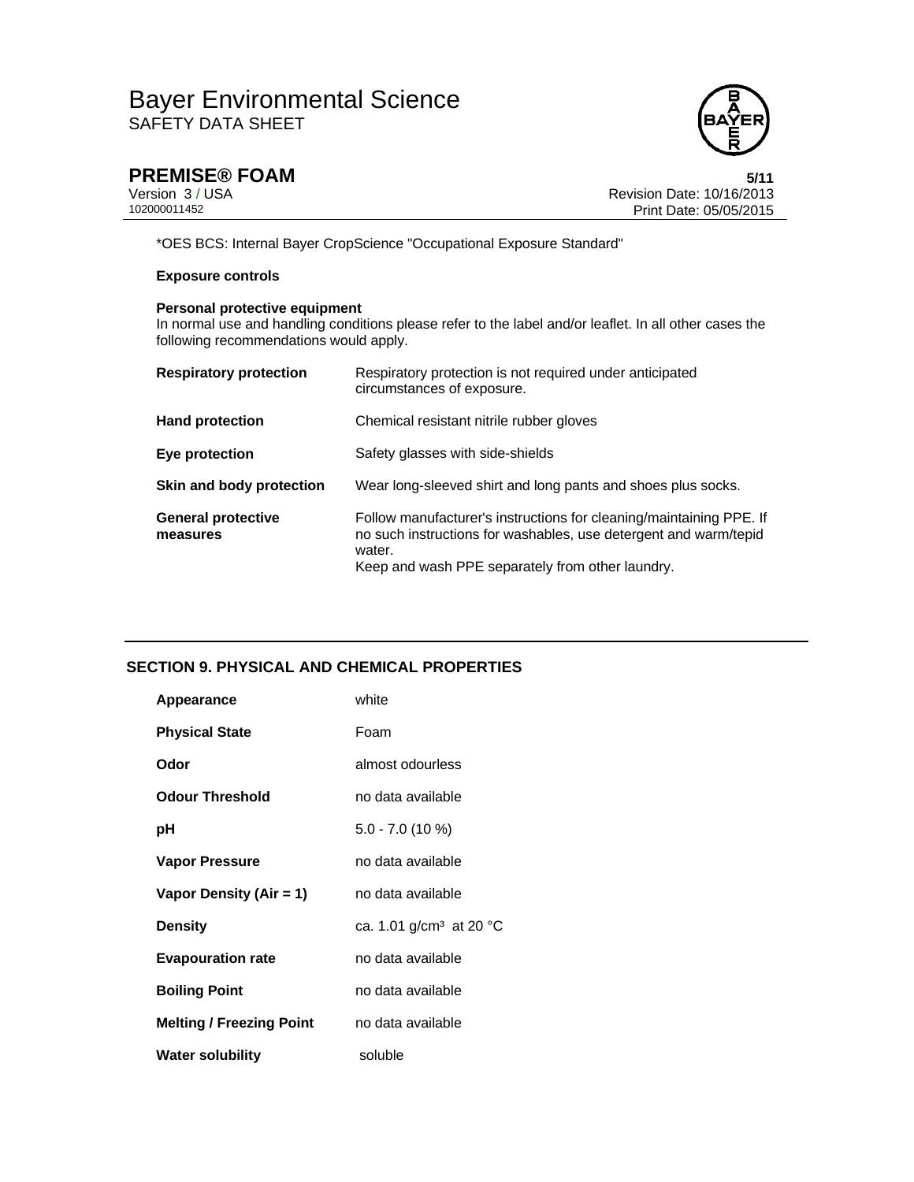

**PREMISE® FOAM** 5/11<br>
Version 3 / USA 6/10/16/2013<br>
102000011452 Print Date: 05/05/2015 Revision Date: 10/16/2013 Print Date: 05/05/2015

\*OES BCS: Internal Bayer CropScience "Occupational Exposure Standard"

## **Exposure controls**

## **Personal protective equipment**

In normal use and handling conditions please refer to the label and/or leaflet. In all other cases the following recommendations would apply.

| <b>Respiratory protection</b>         | Respiratory protection is not required under anticipated<br>circumstances of exposure.                                                                                                                |
|---------------------------------------|-------------------------------------------------------------------------------------------------------------------------------------------------------------------------------------------------------|
| <b>Hand protection</b>                | Chemical resistant nitrile rubber gloves                                                                                                                                                              |
| Eye protection                        | Safety glasses with side-shields                                                                                                                                                                      |
| Skin and body protection              | Wear long-sleeved shirt and long pants and shoes plus socks.                                                                                                                                          |
| <b>General protective</b><br>measures | Follow manufacturer's instructions for cleaning/maintaining PPE. If<br>no such instructions for washables, use detergent and warm/tepid<br>water.<br>Keep and wash PPE separately from other laundry. |

## **SECTION 9. PHYSICAL AND CHEMICAL PROPERTIES**

| Appearance                      | white                               |
|---------------------------------|-------------------------------------|
| <b>Physical State</b>           | Foam                                |
| Odor                            | almost odourless                    |
| <b>Odour Threshold</b>          | no data available                   |
| рH                              | $5.0 - 7.0$ (10 %)                  |
| <b>Vapor Pressure</b>           | no data available                   |
| Vapor Density (Air = 1)         | no data available                   |
| <b>Density</b>                  | ca. 1.01 g/cm <sup>3</sup> at 20 °C |
| <b>Evapouration rate</b>        | no data available                   |
| <b>Boiling Point</b>            | no data available                   |
| <b>Melting / Freezing Point</b> | no data available                   |
| <b>Water solubility</b>         | soluble                             |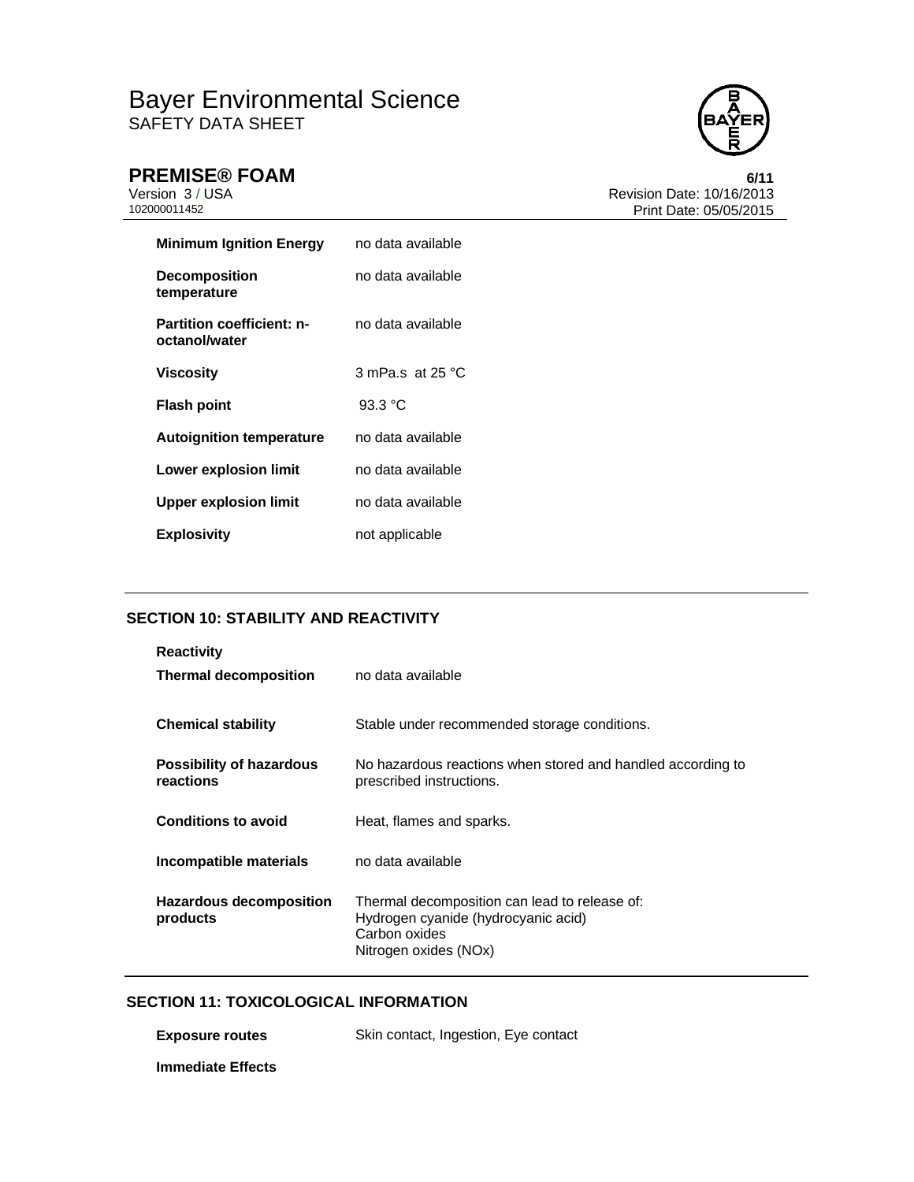

**PREMISE® FOAM** 6/11<br>Version 3 / USA 6/12013 Version 3 / USA Revision Date: 10/16/2013 Print Date: 05/05/2015

| <b>Minimum Ignition Energy</b>                    | no data available           |
|---------------------------------------------------|-----------------------------|
| <b>Decomposition</b><br>temperature               | no data available           |
| <b>Partition coefficient: n-</b><br>octanol/water | no data available           |
| Viscosity                                         | 3 mPa.s. at 25 $^{\circ}$ C |
| <b>Flash point</b>                                | $93.3 \text{ °C}$           |
| <b>Autoignition temperature</b>                   | no data available           |
| Lower explosion limit                             | no data available           |
| <b>Upper explosion limit</b>                      | no data available           |
|                                                   |                             |

# **SECTION 10: STABILITY AND REACTIVITY**

| <b>Reactivity</b><br><b>Thermal decomposition</b> | no data available                                                                                                              |
|---------------------------------------------------|--------------------------------------------------------------------------------------------------------------------------------|
| <b>Chemical stability</b>                         | Stable under recommended storage conditions.                                                                                   |
| <b>Possibility of hazardous</b><br>reactions      | No hazardous reactions when stored and handled according to<br>prescribed instructions.                                        |
| <b>Conditions to avoid</b>                        | Heat, flames and sparks.                                                                                                       |
| Incompatible materials                            | no data available                                                                                                              |
| Hazardous decomposition<br>products               | Thermal decomposition can lead to release of:<br>Hydrogen cyanide (hydrocyanic acid)<br>Carbon oxides<br>Nitrogen oxides (NOx) |

# **SECTION 11: TOXICOLOGICAL INFORMATION**

**Exposure routes Skin contact, Ingestion, Eye contact Immediate Effects**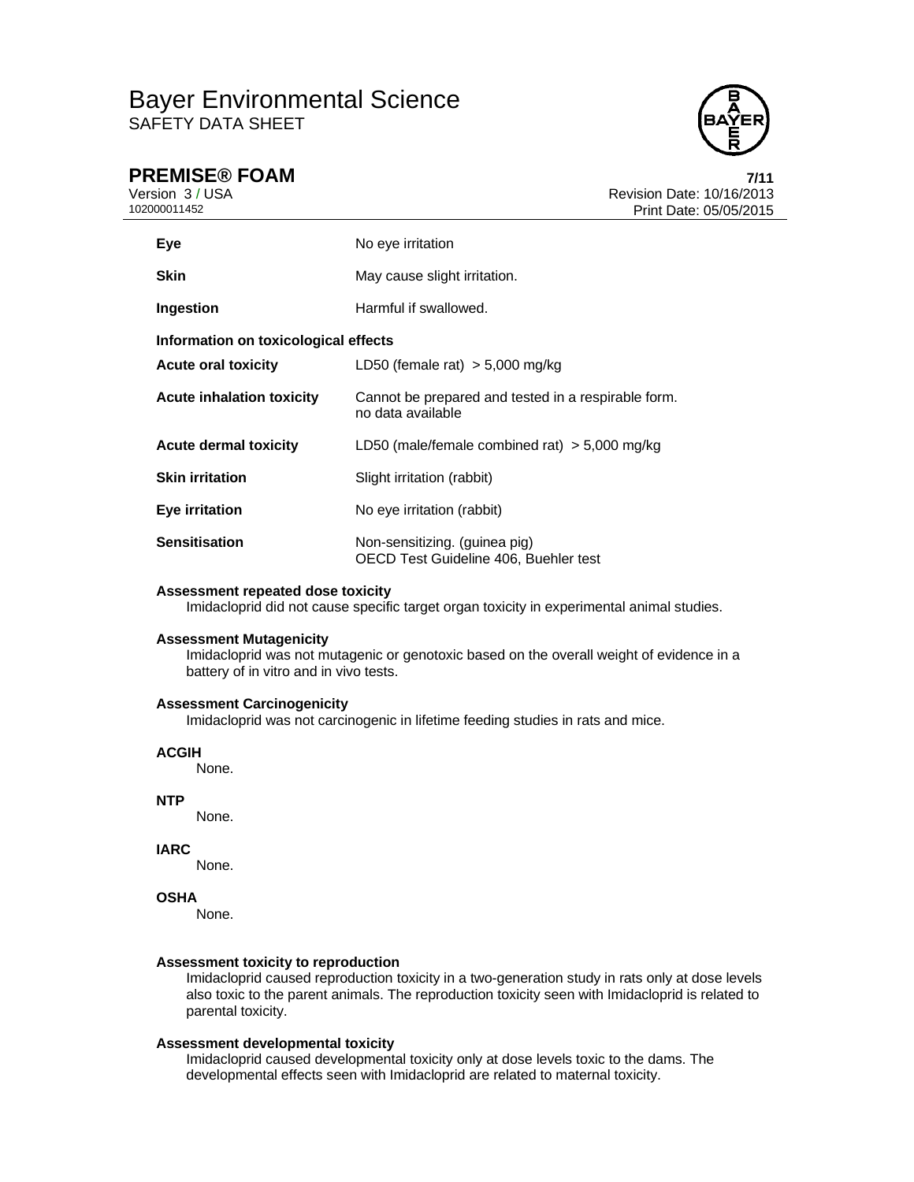

# **PREMISE® FOAM 7/11**

Version 3 / USA Revision Date: 10/16/2013 Print Date: 05/05/2015

| Eye                                  | No eye irritation                                                        |  |
|--------------------------------------|--------------------------------------------------------------------------|--|
| <b>Skin</b>                          | May cause slight irritation.                                             |  |
| Ingestion                            | Harmful if swallowed.                                                    |  |
| Information on toxicological effects |                                                                          |  |
| <b>Acute oral toxicity</b>           | LD50 (female rat) $>$ 5,000 mg/kg                                        |  |
| <b>Acute inhalation toxicity</b>     | Cannot be prepared and tested in a respirable form.<br>no data available |  |
| <b>Acute dermal toxicity</b>         | LD50 (male/female combined rat) $>$ 5,000 mg/kg                          |  |
| <b>Skin irritation</b>               | Slight irritation (rabbit)                                               |  |
| Eye irritation                       | No eye irritation (rabbit)                                               |  |
| <b>Sensitisation</b>                 | Non-sensitizing. (guinea pig)<br>OECD Test Guideline 406. Buehler test   |  |

### **Assessment repeated dose toxicity**

Imidacloprid did not cause specific target organ toxicity in experimental animal studies.

### **Assessment Mutagenicity**

Imidacloprid was not mutagenic or genotoxic based on the overall weight of evidence in a battery of in vitro and in vivo tests.

### **Assessment Carcinogenicity**

Imidacloprid was not carcinogenic in lifetime feeding studies in rats and mice.

### **ACGIH**

None.

### **NTP**

None.

### **IARC**

None.

### **OSHA**

None.

### **Assessment toxicity to reproduction**

Imidacloprid caused reproduction toxicity in a two-generation study in rats only at dose levels also toxic to the parent animals. The reproduction toxicity seen with Imidacloprid is related to parental toxicity.

### **Assessment developmental toxicity**

Imidacloprid caused developmental toxicity only at dose levels toxic to the dams. The developmental effects seen with Imidacloprid are related to maternal toxicity.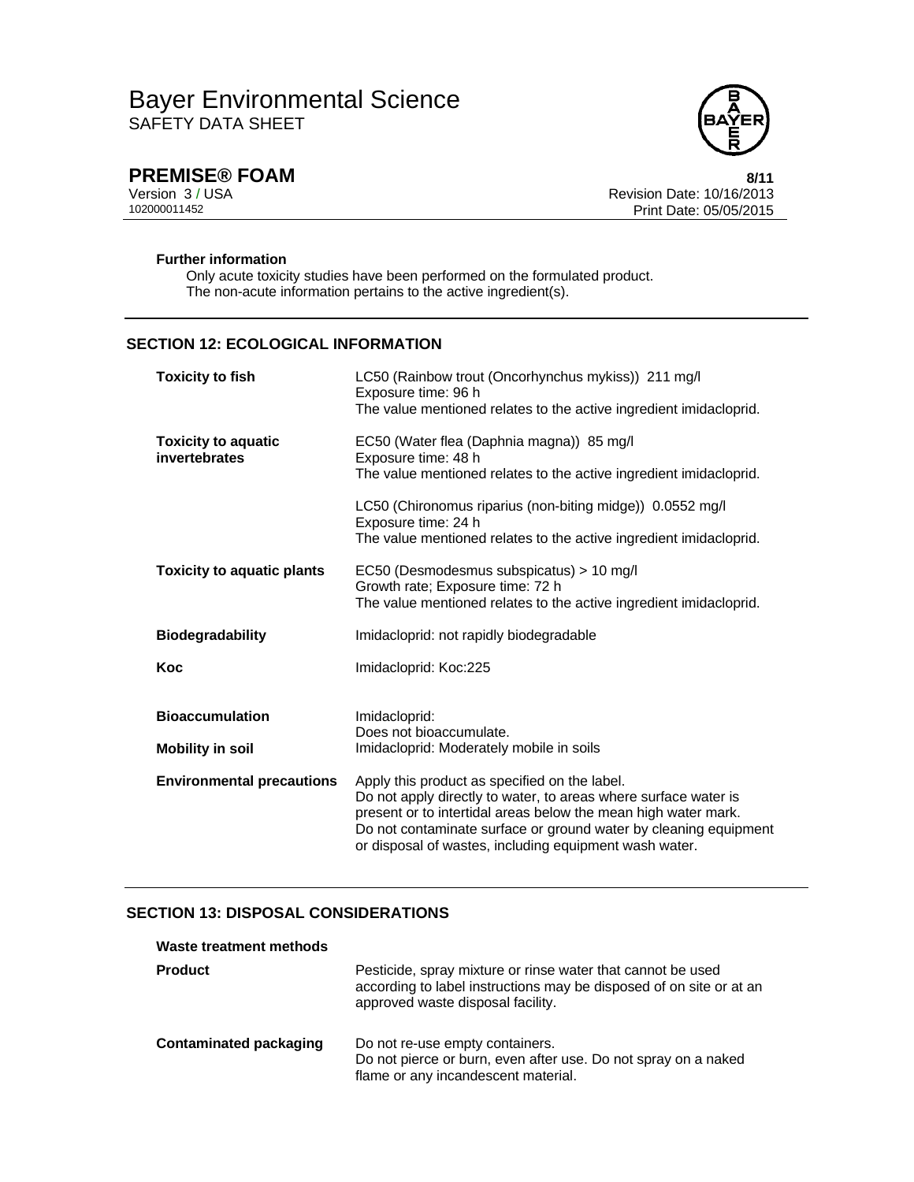

**PREMISE® FOAM** 8/11<br>Version 3 / USA 8/12<br>Revision Date: 10/16/2013 Version 3 / USA Revision Date: 10/16/2013 Print Date: 05/05/2015

### **Further information**

Only acute toxicity studies have been performed on the formulated product. The non-acute information pertains to the active ingredient(s).

## **SECTION 12: ECOLOGICAL INFORMATION**

| <b>Toxicity to fish</b>                     | LC50 (Rainbow trout (Oncorhynchus mykiss)) 211 mg/l<br>Exposure time: 96 h<br>The value mentioned relates to the active ingredient imidacloprid.                                                                                                                                                                 |
|---------------------------------------------|------------------------------------------------------------------------------------------------------------------------------------------------------------------------------------------------------------------------------------------------------------------------------------------------------------------|
| <b>Toxicity to aquatic</b><br>invertebrates | EC50 (Water flea (Daphnia magna)) 85 mg/l<br>Exposure time: 48 h<br>The value mentioned relates to the active ingredient imidacloprid.                                                                                                                                                                           |
|                                             | LC50 (Chironomus riparius (non-biting midge)) 0.0552 mg/l<br>Exposure time: 24 h<br>The value mentioned relates to the active ingredient imidacloprid.                                                                                                                                                           |
| <b>Toxicity to aquatic plants</b>           | EC50 (Desmodesmus subspicatus) > 10 mg/l<br>Growth rate; Exposure time: 72 h<br>The value mentioned relates to the active ingredient imidacloprid.                                                                                                                                                               |
| <b>Biodegradability</b>                     | Imidacloprid: not rapidly biodegradable                                                                                                                                                                                                                                                                          |
| Koc                                         | Imidacloprid: Koc:225                                                                                                                                                                                                                                                                                            |
| <b>Bioaccumulation</b>                      | Imidacloprid:                                                                                                                                                                                                                                                                                                    |
| <b>Mobility in soil</b>                     | Does not bioaccumulate.<br>Imidacloprid: Moderately mobile in soils                                                                                                                                                                                                                                              |
| <b>Environmental precautions</b>            | Apply this product as specified on the label.<br>Do not apply directly to water, to areas where surface water is<br>present or to intertidal areas below the mean high water mark.<br>Do not contaminate surface or ground water by cleaning equipment<br>or disposal of wastes, including equipment wash water. |

# **SECTION 13: DISPOSAL CONSIDERATIONS**

| Waste treatment methods |                                                                                                                                                                         |
|-------------------------|-------------------------------------------------------------------------------------------------------------------------------------------------------------------------|
| <b>Product</b>          | Pesticide, spray mixture or rinse water that cannot be used<br>according to label instructions may be disposed of on site or at an<br>approved waste disposal facility. |
| Contaminated packaging  | Do not re-use empty containers.<br>Do not pierce or burn, even after use. Do not spray on a naked<br>flame or any incandescent material.                                |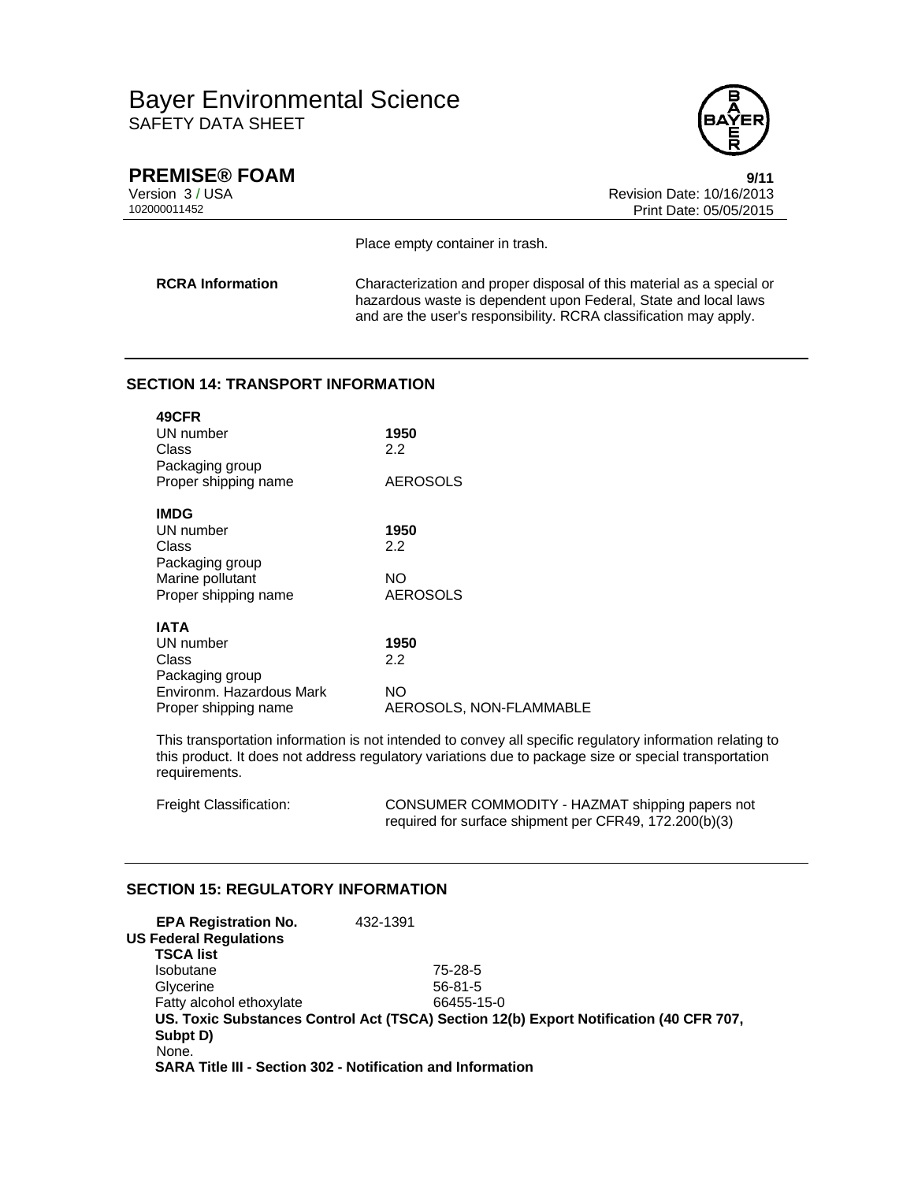

**PREMISE® FOAM** 9/11<br>Version 3 / USA 9/15 Version 3 / USA Revision Date: 10/16/2013 Print Date: 05/05/2015

Place empty container in trash.

**RCRA Information** Characterization and proper disposal of this material as a special or hazardous waste is dependent upon Federal, State and local laws and are the user's responsibility. RCRA classification may apply.

## **SECTION 14: TRANSPORT INFORMATION**

| 49CFR                    |                         |
|--------------------------|-------------------------|
| UN number                | 1950                    |
| Class                    | 2.2                     |
| Packaging group          |                         |
| Proper shipping name     | AEROSOLS                |
| <b>IMDG</b>              |                         |
| UN number                | 1950                    |
| Class                    | 2.2                     |
| Packaging group          |                         |
| Marine pollutant         | NΟ                      |
| Proper shipping name     | <b>AEROSOLS</b>         |
|                          |                         |
| IATA                     |                         |
| UN number                | 1950                    |
| Class                    | 2.2                     |
| Packaging group          |                         |
| Environm. Hazardous Mark | NΟ                      |
| Proper shipping name     | AEROSOLS, NON-FLAMMABLE |

This transportation information is not intended to convey all specific regulatory information relating to this product. It does not address regulatory variations due to package size or special transportation requirements.

| Freight Classification: | CONSUMER COMMODITY - HAZMAT shipping papers not        |
|-------------------------|--------------------------------------------------------|
|                         | required for surface shipment per CFR49, 172.200(b)(3) |

## **SECTION 15: REGULATORY INFORMATION**

| <b>EPA Registration No.</b><br><b>US Federal Regulations</b>       | 432-1391 |                                                                                        |
|--------------------------------------------------------------------|----------|----------------------------------------------------------------------------------------|
| <b>TSCA list</b>                                                   |          |                                                                                        |
| Isobutane                                                          |          | 75-28-5                                                                                |
| Glycerine                                                          |          | $56 - 81 - 5$                                                                          |
| Fatty alcohol ethoxylate                                           |          | 66455-15-0                                                                             |
|                                                                    |          | US. Toxic Substances Control Act (TSCA) Section 12(b) Export Notification (40 CFR 707, |
| Subpt D)                                                           |          |                                                                                        |
| None.                                                              |          |                                                                                        |
| <b>SARA Title III - Section 302 - Notification and Information</b> |          |                                                                                        |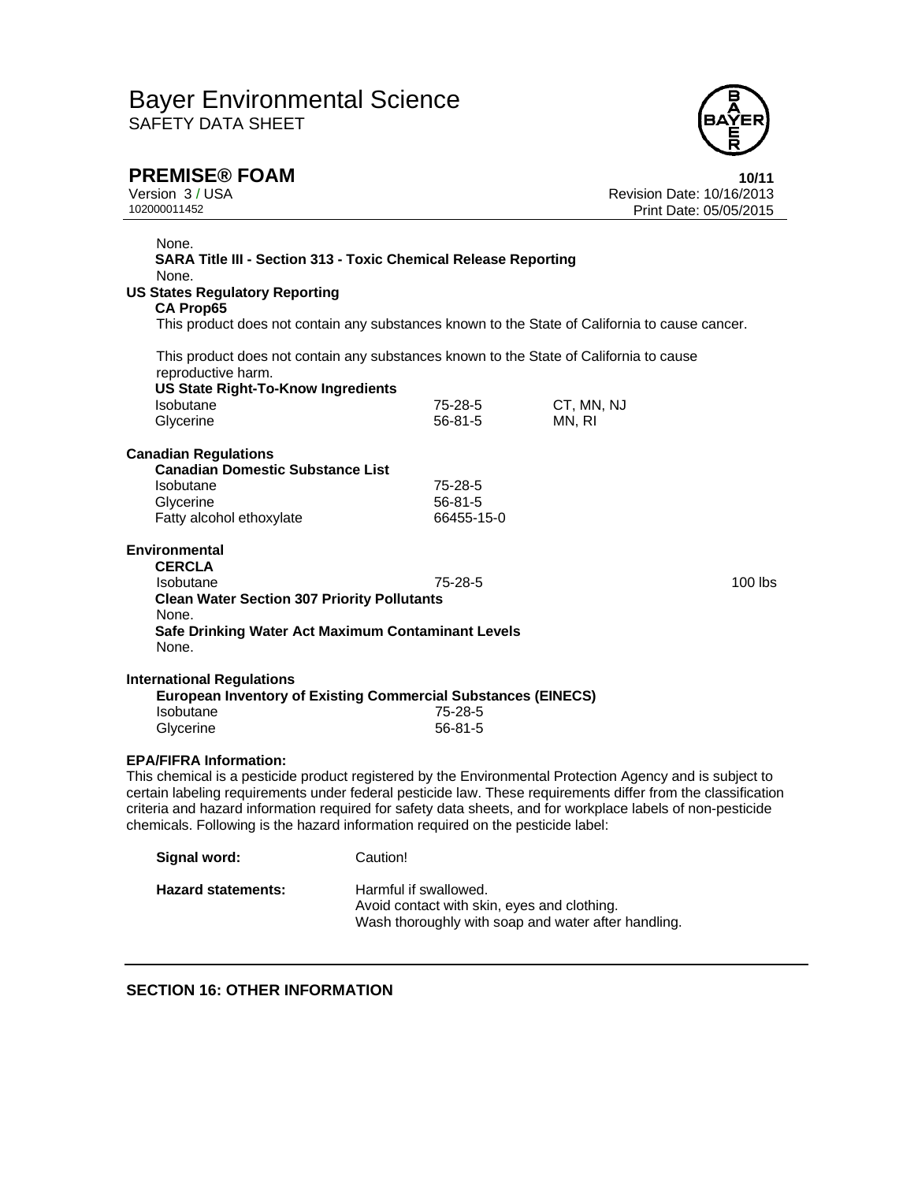

**PREMISE® FOAM 10/11**<br>Version 3 / USA **10/2013**<br>102000011452 **10/16/2013**<br>Print Date: 05/05/2015 Revision Date: 10/16/2013 Print Date: 05/05/2015

| None.<br><b>SARA Title III - Section 313 - Toxic Chemical Release Reporting</b>                                                                                                                                                                                                                                                                                                                                                                            |                       |                                                                                                |  |  |
|------------------------------------------------------------------------------------------------------------------------------------------------------------------------------------------------------------------------------------------------------------------------------------------------------------------------------------------------------------------------------------------------------------------------------------------------------------|-----------------------|------------------------------------------------------------------------------------------------|--|--|
| None.                                                                                                                                                                                                                                                                                                                                                                                                                                                      |                       |                                                                                                |  |  |
| <b>US States Regulatory Reporting</b>                                                                                                                                                                                                                                                                                                                                                                                                                      |                       |                                                                                                |  |  |
| <b>CA Prop65</b>                                                                                                                                                                                                                                                                                                                                                                                                                                           |                       |                                                                                                |  |  |
|                                                                                                                                                                                                                                                                                                                                                                                                                                                            |                       | This product does not contain any substances known to the State of California to cause cancer. |  |  |
| This product does not contain any substances known to the State of California to cause<br>reproductive harm.<br><b>US State Right-To-Know Ingredients</b>                                                                                                                                                                                                                                                                                                  |                       |                                                                                                |  |  |
| Isobutane                                                                                                                                                                                                                                                                                                                                                                                                                                                  | 75-28-5               | CT, MN, NJ                                                                                     |  |  |
| Glycerine                                                                                                                                                                                                                                                                                                                                                                                                                                                  | $56 - 81 - 5$         | MN, RI                                                                                         |  |  |
|                                                                                                                                                                                                                                                                                                                                                                                                                                                            |                       |                                                                                                |  |  |
| <b>Canadian Regulations</b>                                                                                                                                                                                                                                                                                                                                                                                                                                |                       |                                                                                                |  |  |
| <b>Canadian Domestic Substance List</b>                                                                                                                                                                                                                                                                                                                                                                                                                    |                       |                                                                                                |  |  |
| Isobutane                                                                                                                                                                                                                                                                                                                                                                                                                                                  | $75 - 28 - 5$         |                                                                                                |  |  |
| Glycerine                                                                                                                                                                                                                                                                                                                                                                                                                                                  | $56 - 81 - 5$         |                                                                                                |  |  |
| Fatty alcohol ethoxylate                                                                                                                                                                                                                                                                                                                                                                                                                                   | 66455-15-0            |                                                                                                |  |  |
| <b>Environmental</b><br><b>CERCLA</b><br>Isobutane                                                                                                                                                                                                                                                                                                                                                                                                         | 75-28-5               | $100$ lbs                                                                                      |  |  |
| <b>Clean Water Section 307 Priority Pollutants</b>                                                                                                                                                                                                                                                                                                                                                                                                         |                       |                                                                                                |  |  |
| None.                                                                                                                                                                                                                                                                                                                                                                                                                                                      |                       |                                                                                                |  |  |
| Safe Drinking Water Act Maximum Contaminant Levels                                                                                                                                                                                                                                                                                                                                                                                                         |                       |                                                                                                |  |  |
| None.                                                                                                                                                                                                                                                                                                                                                                                                                                                      |                       |                                                                                                |  |  |
|                                                                                                                                                                                                                                                                                                                                                                                                                                                            |                       |                                                                                                |  |  |
| <b>International Regulations</b><br><b>European Inventory of Existing Commercial Substances (EINECS)</b><br>Isobutane                                                                                                                                                                                                                                                                                                                                      | 75-28-5               |                                                                                                |  |  |
| Glycerine                                                                                                                                                                                                                                                                                                                                                                                                                                                  | $56 - 81 - 5$         |                                                                                                |  |  |
| <b>EPA/FIFRA Information:</b><br>This chemical is a pesticide product registered by the Environmental Protection Agency and is subject to<br>certain labeling requirements under federal pesticide law. These requirements differ from the classification<br>criteria and hazard information required for safety data sheets, and for workplace labels of non-pesticide<br>chemicals. Following is the hazard information required on the pesticide label: |                       |                                                                                                |  |  |
| Signal word:                                                                                                                                                                                                                                                                                                                                                                                                                                               | Caution!              |                                                                                                |  |  |
| <b>Hazard statements:</b>                                                                                                                                                                                                                                                                                                                                                                                                                                  | Harmful if swallowed. |                                                                                                |  |  |

Avoid contact with skin, eyes and clothing.

Wash thoroughly with soap and water after handling.

## **SECTION 16: OTHER INFORMATION**